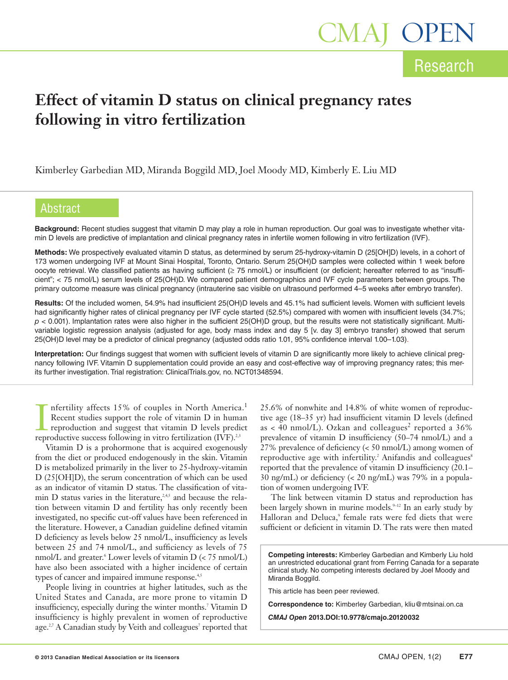# **Effect of vitamin D status on clinical pregnancy rates following in vitro fertilization**

Kimberley Garbedian MD, Miranda Boggild MD, Joel Moody MD, Kimberly E. Liu MD

# Abstract

**Background:** Recent studies suggest that vitamin D may play a role in human reproduction. Our goal was to investigate whether vitamin D levels are predictive of implantation and clinical pregnancy rates in infertile women following in vitro fertilization (IVF).

**Methods:** We prospectively evaluated vitamin D status, as determined by serum 25-hydroxy-vitamin D (25[OH]D) levels, in a cohort of 173 women undergoing IVF at Mount Sinai Hospital, Toronto, Ontario. Serum 25(OH)D samples were collected within 1 week before oocyte retrieval. We classified patients as having sufficient (≥ 75 nmol/L) or insufficient (or deficient; hereafter referred to as "insufficient"; < 75 nmol/L) serum levels of 25(OH)D. We compared patient demographics and IVF cycle parameters between groups. The primary outcome measure was clinical pregnancy (intrauterine sac visible on ultrasound performed 4–5 weeks after embryo transfer).

**Results:** Of the included women, 54.9% had insufficient 25(OH)D levels and 45.1% had sufficient levels. Women with sufficient levels had significantly higher rates of clinical pregnancy per IVF cycle started (52.5%) compared with women with insufficient levels (34.7%; *p* < 0.001). Implantation rates were also higher in the sufficient 25(OH)D group, but the results were not statistically significant. Multivariable logistic regression analysis (adjusted for age, body mass index and day 5 [v. day 3] embryo transfer) showed that serum 25(OH)D level may be a predictor of clinical pregnancy (adjusted odds ratio 1.01, 95% confidence interval 1.00–1.03).

**Interpretation:** Our findings suggest that women with sufficient levels of vitamin D are significantly more likely to achieve clinical pregnancy following IVF. Vitamin D supplementation could provide an easy and cost-effective way of improving pregnancy rates; this merits further investigation. Trial registration: ClinicalTrials.gov, no. NCT01348594.

**I** nfertility affects 15% of couples in North America<br>Recent studies support the role of vitamin D in huma<br>reproductive auccess following in vitro fertilization (IVF).<sup>2,3</sup> nfertility affects 15% of couples in North America. 1 Recent studies support the role of vitamin D in human reproduction and suggest that vitamin D levels predict

Vitamin D is a prohormone that is acquired exogenously from the diet or produced endogenously in the skin. Vitamin D is metabolized primarily in the liver to 25-hydroxy-vitamin D (25[OH]D), the serum concentration of which can be used as an indicator of vitamin D status. The classification of vita- $\min$  D status varies in the literature,<sup>2,4,5</sup> and because the relation between vitamin D and fertility has only recently been investigated, no specific cut-off values have been referenced in the literature. However, a Canadian guideline defined vitamin D deficiency as levels below 25 nmol/L, insufficiency as levels between 25 and 74 nmol/L, and sufficiency as levels of 75 nmol/L and greater. <sup>6</sup> Lower levels of vitamin D (< 75 nmol/L) have also been associated with a higher incidence of certain types of cancer and impaired immune response.<sup>4,5</sup>

People living in countries at higher latitudes, such as the United States and Canada, are more prone to vitamin D insufficiency, especially during the winter months. <sup>7</sup> Vitamin D insufficiency is highly prevalent in women of reproductive age.<sup>2,7</sup> A Canadian study by Veith and colleagues<sup>7</sup> reported that

25.6% of nonwhite and 14.8% of white women of reproductive age (18–35 yr) had insufficient vitamin D levels (defined as  $\lt$  40 nmol/L). Ozkan and colleagues<sup>2</sup> reported a 36% prevalence of vitamin D insufficiency (50–74 nmol/L) and a 27% prevalence of deficiency (< 50 nmol/L) among women of reproductive age with infertility. <sup>2</sup> Anifandis and colleagues 8 reported that the prevalence of vitamin D insufficiency (20.1– 30 ng/mL) or deficiency (< 20 ng/mL) was 79% in a population of women undergoing IVF.

The link between vitamin D status and reproduction has been largely shown in murine models.<sup>9-12</sup> In an early study by Halloran and Deluca, <sup>9</sup> female rats were fed diets that were sufficient or deficient in vitamin D. The rats were then mated

**Competing interests:** Kimberley Garbedian and Kimberly Liu hold an unrestricted educational grant from Ferring Canada for a separate clinical study. No competing interests declared by Joel Moody and Miranda Boggild.

This article has been peer reviewed.

**Correspondence to:** Kimberley Garbedian, kliu@mtsinai.on.ca

*CMAJ Open* **2013.DOI:10.9778/cmajo.20120032**

Research

1AJ OPI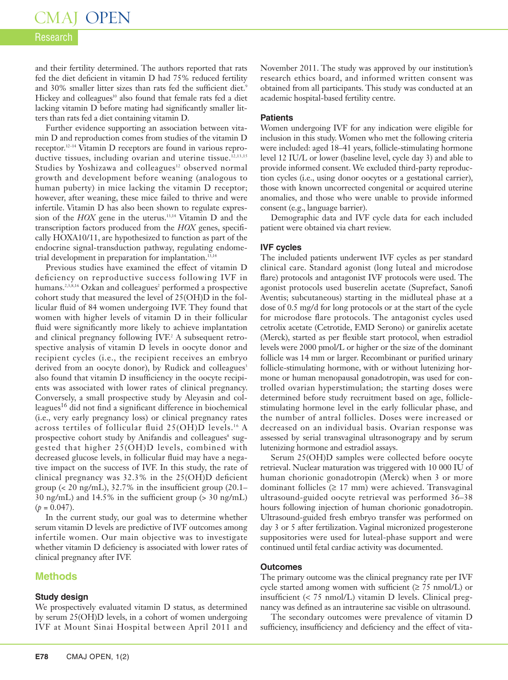# CMAJ OPEN

# Research

and their fertility determined. The authors reported that rats fed the diet deficient in vitamin D had 75% reduced fertility and 30% smaller litter sizes than rats fed the sufficient diet. 9 Hickey and colleagues <sup>10</sup> also found that female rats fed a diet lacking vitamin D before mating had significantly smaller litters than rats fed a diet containing vitamin D.

Further evidence supporting an association between vitamin D and reproduction comes from studies of the vitamin D receptor. 12–14 Vitamin D receptors are found in various reproductive tissues, including ovarian and uterine tissue. 12,13,15 Studies by Yoshizawa and colleagues<sup>12</sup> observed normal growth and development before weaning (analogous to human puberty) in mice lacking the vitamin D receptor; however, after weaning, these mice failed to thrive and were infertile. Vitamin D has also been shown to regulate expression of the *HOX* gene in the uterus. 13,14 Vitamin D and the transcription factors produced from the *HOX* genes, specifically HOXA10/11, are hypothesized to function as part of the endocrine signal-transduction pathway, regulating endometrial development in preparation for implantation. 13,14

Previous studies have examined the effect of vitamin D deficiency on reproductive success following IVF in humans. 2,3,8,16 Ozkan and colleagues <sup>2</sup> performed a prospective cohort study that measured the level of 25(OH)D in the follicular fluid of 84 women undergoing IVF. They found that women with higher levels of vitamin D in their follicular fluid were significantly more likely to achieve implantation and clinical pregnancy following IVF. <sup>2</sup> A subsequent retrospective analysis of vitamin D levels in oocyte donor and recipient cycles (i.e., the recipient receives an embryo derived from an oocyte donor), by Rudick and colleagues 3 also found that vitamin D insufficiency in the oocyte recipients was associated with lower rates of clinical pregnancy. Conversely, a small prospective study by Aleyasin and colleagues<sup>16</sup> did not find a significant difference in biochemical (i.e., very early pregnancy loss) or clinical pregnancy rates across tertiles of follicular fluid 25(OH)D levels.<sup>16</sup> A prospective cohort study by Anifandis and colleagues <sup>8</sup> suggested that higher 25(OH)D levels, combined with decreased glucose levels, in follicular fluid may have a negative impact on the success of IVF. In this study, the rate of clinical pregnancy was 32.3% in the 25(OH)D deficient group (< 20 ng/mL), 32.7% in the insufficient group (20.1– 30 ng/mL) and 14.5% in the sufficient group (> 30 ng/mL)  $(p = 0.047)$ .

In the current study, our goal was to determine whether serum vitamin D levels are predictive of IVF outcomes among infertile women. Our main objective was to investigate whether vitamin D deficiency is associated with lower rates of clinical pregnancy after IVF.

## **Methods**

### **Study design**

We prospectively evaluated vitamin D status, as determined by serum 25(OH)D levels, in a cohort of women undergoing IVF at Mount Sinai Hospital between April 2011 and

November 2011. The study was approved by our institution's research ethics board, and informed written consent was obtained from all participants. This study was conducted at an academic hospital-based fertility centre.

## **Patients**

Women undergoing IVF for any indication were eligible for inclusion in this study. Women who met the following criteria were included: aged 18–41 years, follicle-stimulating hormone level 12 IU/L or lower (baseline level, cycle day 3) and able to provide informed consent. We excluded third-party reproduction cycles (i.e., using donor oocytes or a gestational carrier), those with known uncorrected congenital or acquired uterine anomalies, and those who were unable to provide informed consent (e.g., language barrier).

Demographic data and IVF cycle data for each included patient were obtained via chart review.

## **IVF cycles**

The included patients underwent IVF cycles as per standard clinical care. Standard agonist (long luteal and microdose flare) protocols and antagonist IVF protocols were used. The agonist protocols used buserelin acetate (Suprefact, Sanofi Aventis; subcutaneous) starting in the midluteal phase at a dose of 0.5 mg/d for long protocols or at the start of the cycle for microdose flare protocols. The antagonist cycles used cetrolix acetate (Cetrotide, EMD Serono) or ganirelix acetate (Merck), started as per flexible start protocol, when estradiol levels were 2000 pmol/L or higher or the size of the dominant follicle was 14 mm or larger. Recombinant or purified urinary follicle-stimulating hormone, with or without lutenizing hormone or human menopausal gonadotropin, was used for controlled ovarian hyperstimulation; the starting doses were determined before study recruitment based on age, folliclestimulating hormone level in the early follicular phase, and the number of antral follicles. Doses were increased or decreased on an individual basis. Ovarian response was assessed by serial transvaginal ultrasonograpy and by serum lutenizing hormone and estradiol assays.

Serum 25(OH)D samples were collected before oocyte retrieval. Nuclear maturation was triggered with 10 000 IU of human chorionic gonadotropin (Merck) when 3 or more dominant follicles (≥ 17 mm) were achieved. Transvaginal ultrasound-guided oocyte retrieval was performed 36–38 hours following injection of human chorionic gonadotropin. Ultrasound-guided fresh embryo transfer was performed on day 3 or 5 after fertilization. Vaginal micronized progesterone suppositories were used for luteal-phase support and were continued until fetal cardiac activity was documented.

### **Outcomes**

The primary outcome was the clinical pregnancy rate per IVF cycle started among women with sufficient  $(≥ 75$  nmol/L) or insufficient (< 75 nmol/L) vitamin D levels. Clinical pregnancy was defined as an intrauterine sac visible on ultrasound.

The secondary outcomes were prevalence of vitamin D sufficiency, insufficiency and deficiency and the effect of vita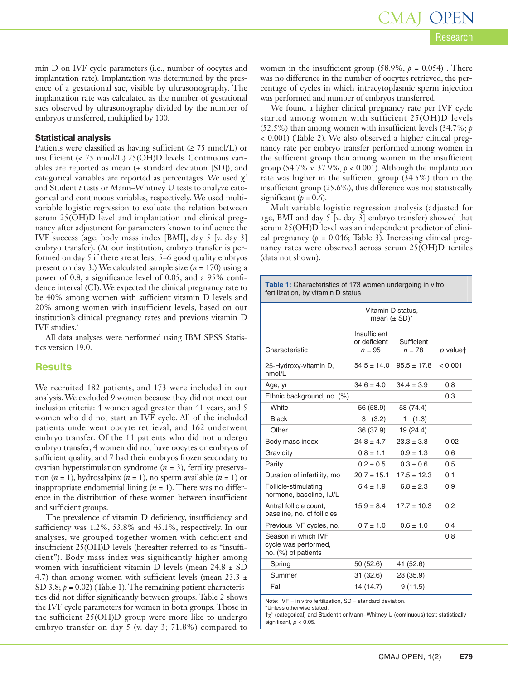min D on IVF cycle parameters (i.e., number of oocytes and implantation rate). Implantation was determined by the presence of a gestational sac, visible by ultrasonography. The implantation rate was calculated as the number of gestational sacs observed by ultrasonography divided by the number of embryos transferred, multiplied by 100.

#### **Statistical analysis**

Patients were classified as having sufficient ( $\geq$  75 nmol/L) or insufficient (< 75 nmol/L) 25(OH)D levels. Continuous variables are reported as mean  $(\pm$  standard deviation [SD]), and categorical variables are reported as percentages. We used  $\chi^2$ and Student *t* tests or Mann–Whitney U tests to analyze categorical and continuous variables, respectively. We used multivariable logistic regression to evaluate the relation between serum 25(OH)D level and implantation and clinical pregnancy after adjustment for parameters known to influence the IVF success (age, body mass index [BMI], day 5 [v. day 3] embryo transfer). (At our institution, embryo transfer is performed on day 5 if there are at least 5–6 good quality embryos present on day 3.) We calculated sample size (*n* = 170) using a power of 0.8, a significance level of 0.05, and a 95% confidence interval (CI).We expected the clinical pregnancy rate to be 40% among women with sufficient vitamin D levels and 20% among women with insufficient levels, based on our institution's clinical pregnancy rates and previous vitamin D IVF studies. 2

All data analyses were performed using IBM SPSS Statistics version 19.0.

### **Results**

We recruited 182 patients, and 173 were included in our analysis.We excluded 9 women because they did not meet our inclusion criteria: 4 women aged greater than 41 years, and 5 women who did not start an IVF cycle. All of the included patients underwent oocyte retrieval, and 162 underwent embryo transfer. Of the 11 patients who did not undergo embryo transfer, 4 women did not have oocytes or embryos of sufficient quality, and 7 had their embryos frozen secondary to ovarian hyperstimulation syndrome (*n* = 3), fertility preservation  $(n = 1)$ , hydrosalpinx  $(n = 1)$ , no sperm available  $(n = 1)$  or inappropriate endometrial lining (*n* = 1). There was no difference in the distribution of these women between insufficient and sufficient groups.

The prevalence of vitamin D deficiency, insufficiency and sufficiency was 1.2%, 53.8% and 45.1%, respectively. In our analyses, we grouped together women with deficient and insufficient 25(OH)D levels (hereafter referred to as "insufficient"). Body mass index was significantly higher among women with insufficient vitamin D levels (mean  $24.8 \pm SD$ 4.7) than among women with sufficient levels (mean  $23.3 \pm$ SD 3.8;  $p = 0.02$ ) (Table 1). The remaining patient characteristics did not differ significantly between groups. Table 2 shows the IVF cycle parameters for women in both groups. Those in the sufficient 25(OH)D group were more like to undergo embryo transfer on day 5 (v. day 3; 71.8%) compared to

women in the insufficient group (58.9%,  $p = 0.054$ ). There was no difference in the number of oocytes retrieved, the percentage of cycles in which intracytoplasmic sperm injection was performed and number of embryos transferred.

We found a higher clinical pregnancy rate per IVF cycle started among women with sufficient 25(OH)D levels (52.5%) than among women with insufficient levels (34.7%; *p* < 0.001) (Table 2). We also observed a higher clinical pregnancy rate per embryo transfer performed among women in the sufficient group than among women in the insufficient group (54.7% v. 37.9%,  $p < 0.001$ ). Although the implantation rate was higher in the sufficient group (34.5%) than in the insufficient group (25.6%), this difference was not statistically significant ( $p = 0.6$ ).

Multivariable logistic regression analysis (adjusted for age, BMI and day 5 [v. day 3] embryo transfer) showed that serum 25(OH)D level was an independent predictor of clinical pregnancy  $(p = 0.046;$  Table 3). Increasing clinical pregnancy rates were observed across serum 25(OH)D tertiles (data not shown).

| <b>Table 1:</b> Characteristics of 173 women undergoing in vitro |  |
|------------------------------------------------------------------|--|
| fertilization, by vitamin D status                               |  |

|                                                                    | Vitamin D status.<br>mean $(\pm SD)^*$   |                        |          |  |  |
|--------------------------------------------------------------------|------------------------------------------|------------------------|----------|--|--|
| Characteristic                                                     | Insufficient<br>or deficient<br>$n = 95$ | Sufficient<br>$n = 78$ | p valuet |  |  |
| 25-Hydroxy-vitamin D,<br>nmol/L                                    | $54.5 \pm 14.0$                          | $95.5 \pm 17.8$        | < 0.001  |  |  |
| Age, yr                                                            | $34.6 \pm 4.0$                           | $34.4 \pm 3.9$         | 0.8      |  |  |
| Ethnic background, no. (%)                                         |                                          |                        | 0.3      |  |  |
| White                                                              | 56 (58.9)                                | 58 (74.4)              |          |  |  |
| <b>Black</b>                                                       | (3.2)<br>З                               | (1.3)<br>1.            |          |  |  |
| Other                                                              | 36 (37.9)                                | 19 (24.4)              |          |  |  |
| Body mass index                                                    | $24.8 \pm 4.7$                           | $23.3 \pm 3.8$         | 0.02     |  |  |
| Gravidity                                                          | $0.8 \pm 1.1$                            | $0.9 \pm 1.3$          | 0.6      |  |  |
| Parity                                                             | $0.2 \pm 0.5$                            | $0.3 \pm 0.6$          | 0.5      |  |  |
| Duration of infertility, mo                                        | $20.7 \pm 15.1$                          | $17.5 \pm 12.3$        | 0.1      |  |  |
| Follicle-stimulating<br>hormone, baseline, IU/L                    | $6.4 \pm 1.9$                            | $6.8 \pm 2.3$          | 0.9      |  |  |
| Antral follicle count.<br>baseline, no. of follicles               | $15.9 \pm 8.4$                           | $17.7 \pm 10.3$        | 0.2      |  |  |
| Previous IVF cycles, no.                                           | $0.7 \pm 1.0$                            | $0.6 \pm 1.0$          | 0.4      |  |  |
| Season in which IVF<br>cycle was performed,<br>no. (%) of patients |                                          |                        | 0.8      |  |  |
| Spring                                                             | 50 (52.6)                                | 41 (52.6)              |          |  |  |
| Summer                                                             | 31 (32.6)                                | 28 (35.9)              |          |  |  |
| Fall                                                               | 14 (14.7)                                | 9(11.5)                |          |  |  |
| Note: IVF = in vitro fertilization, $SD =$ standard deviation.     |                                          |                        |          |  |  |

\*Unless otherwise stated.

†χ<sup>2</sup> (categorical) and Student t or Mann–Whitney U (continuous) test; statistically significant, *p* < 0.05.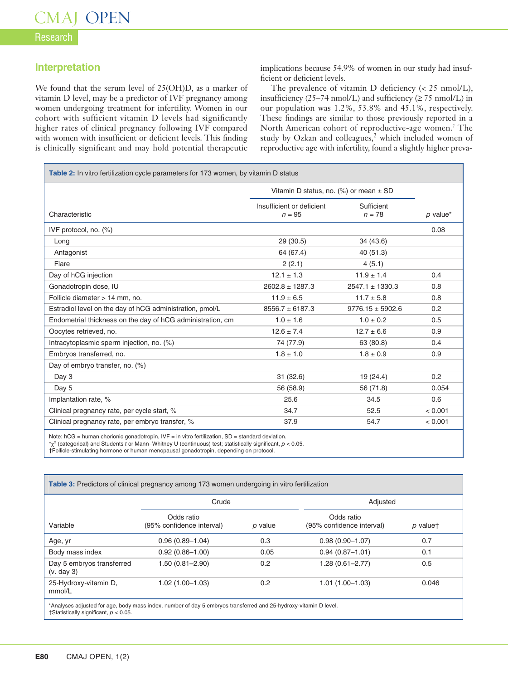# Research

# **Interpretation**

We found that the serum level of 25(OH)D, as a marker of vitamin D level, may be a predictor of IVF pregnancy among women undergoing treatment for infertility. Women in our cohort with sufficient vitamin D levels had significantly higher rates of clinical pregnancy following IVF compared with women with insufficient or deficient levels. This finding is clinically significant and may hold potential therapeutic implications because 54.9% of women in our study had insufficient or deficient levels.

The prevalence of vitamin D deficiency (< 25 nmol/L), insufficiency (25–74 nmol/L) and sufficiency ( $\geq$  75 nmol/L) in our population was 1.2%, 53.8% and 45.1%, respectively. These findings are similar to those previously reported in a North American cohort of reproductive-age women. <sup>7</sup> The study by Ozkan and colleagues, <sup>2</sup> which included women of reproductive age with infertility, found a slightly higher preva-

| Table 2: In vitro fertilization cycle parameters for 173 women, by vitamin D status                                                                                                                                               |                                            |                        |            |  |  |
|-----------------------------------------------------------------------------------------------------------------------------------------------------------------------------------------------------------------------------------|--------------------------------------------|------------------------|------------|--|--|
|                                                                                                                                                                                                                                   | Vitamin D status, no. (%) or mean $\pm$ SD |                        |            |  |  |
| Characteristic                                                                                                                                                                                                                    | Insufficient or deficient<br>$n = 95$      | Sufficient<br>$n = 78$ | $p$ value* |  |  |
| IVF protocol, no. $(\%)$                                                                                                                                                                                                          |                                            |                        | 0.08       |  |  |
| Long                                                                                                                                                                                                                              | 29(30.5)                                   | 34 (43.6)              |            |  |  |
| Antagonist                                                                                                                                                                                                                        | 64 (67.4)                                  | 40 (51.3)              |            |  |  |
| Flare                                                                                                                                                                                                                             | 2(2.1)                                     | 4(5.1)                 |            |  |  |
| Day of hCG injection                                                                                                                                                                                                              | $12.1 \pm 1.3$                             | $11.9 \pm 1.4$         | 0.4        |  |  |
| Gonadotropin dose, IU                                                                                                                                                                                                             | $2602.8 \pm 1287.3$                        | $2547.1 \pm 1330.3$    | 0.8        |  |  |
| Follicle diameter > 14 mm, no.                                                                                                                                                                                                    | $11.9 \pm 6.5$                             | $11.7 \pm 5.8$         | 0.8        |  |  |
| Estradiol level on the day of hCG administration, pmol/L                                                                                                                                                                          | $8556.7 \pm 6187.3$                        | $9776.15 \pm 5902.6$   | 0.2        |  |  |
| Endometrial thickness on the day of hCG administration, cm                                                                                                                                                                        | $1.0 \pm 1.6$                              | $1.0 \pm 0.2$          | 0.5        |  |  |
| Oocytes retrieved, no.                                                                                                                                                                                                            | $12.6 \pm 7.4$                             | $12.7 \pm 6.6$         | 0.9        |  |  |
| Intracytoplasmic sperm injection, no. (%)                                                                                                                                                                                         | 74 (77.9)                                  | 63 (80.8)              | 0.4        |  |  |
| Embryos transferred, no.                                                                                                                                                                                                          | $1.8 \pm 1.0$                              | $1.8 \pm 0.9$          | 0.9        |  |  |
| Day of embryo transfer, no. (%)                                                                                                                                                                                                   |                                            |                        |            |  |  |
| Day 3                                                                                                                                                                                                                             | 31(32.6)                                   | 19(24.4)               | 0.2        |  |  |
| Day 5                                                                                                                                                                                                                             | 56 (58.9)                                  | 56 (71.8)              | 0.054      |  |  |
| Implantation rate, %                                                                                                                                                                                                              | 25.6                                       | 34.5                   | 0.6        |  |  |
| Clinical pregnancy rate, per cycle start, %                                                                                                                                                                                       | 34.7                                       | 52.5                   | < 0.001    |  |  |
| Clinical pregnancy rate, per embryo transfer, %                                                                                                                                                                                   | 37.9                                       | 54.7                   | < 0.001    |  |  |
| Note: $hCG = human chorionic qonadotropin$ , $IVF = in vitro fertilization$ , $SD = standard deviation$ .<br>$\gamma^2$ (categorical) and Students t or Mann–Whitney U (continuous) test; statistically significant, $p < 0.05$ . |                                            |                        |            |  |  |

†Follicle-stimulating hormone or human menopausal gonadotropin, depending on protocol.

| Table 3: Predictors of clinical pregnancy among 173 women undergoing in vitro fertilization |                                         |         |                                         |          |  |  |  |
|---------------------------------------------------------------------------------------------|-----------------------------------------|---------|-----------------------------------------|----------|--|--|--|
|                                                                                             | Crude                                   |         | Adjusted                                |          |  |  |  |
| Variable                                                                                    | Odds ratio<br>(95% confidence interval) | p value | Odds ratio<br>(95% confidence interval) | p valuet |  |  |  |
| Age, yr                                                                                     | $0.96(0.89 - 1.04)$                     | 0.3     | $0.98(0.90 - 1.07)$                     | 0.7      |  |  |  |
| Body mass index                                                                             | $0.92(0.86 - 1.00)$                     | 0.05    | $0.94(0.87 - 1.01)$                     | 0.1      |  |  |  |
| Day 5 embryos transferred<br>(v. day 3)                                                     | $1.50(0.81 - 2.90)$                     | 0.2     | $1.28(0.61 - 2.77)$                     | 0.5      |  |  |  |
| 25-Hydroxy-vitamin D,<br>mmol/L                                                             | $1.02(1.00 - 1.03)$                     | 0.2     | $1.01(1.00 - 1.03)$                     | 0.046    |  |  |  |
|                                                                                             |                                         |         |                                         |          |  |  |  |

\*Analyses adjusted for age, body mass index, number of day 5 embryos transferred and 25-hydroxy-vitamin D level. †Statistically significant, *p* < 0.05.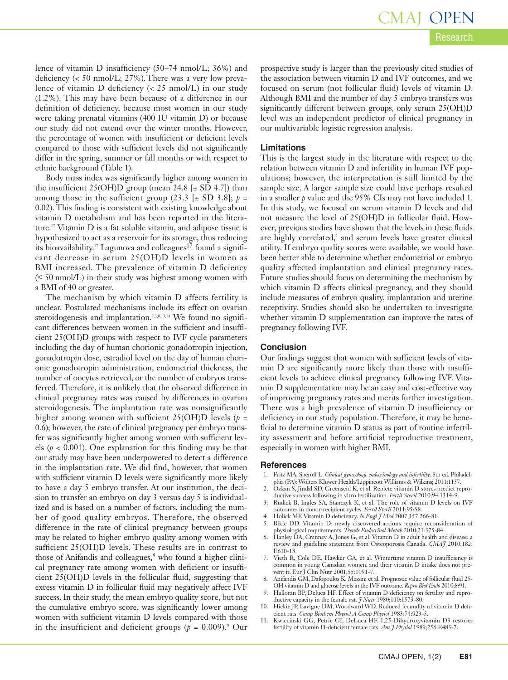lence of vitamin D insufficiency (50–74 nmol/L; 36%) and deficiency (< 50 nmol/L; 27%).There was a very low prevalence of vitamin D deficiency (< 25 nmol/L) in our study (1.2%). This may have been because of a difference in our definition of deficiency, because most women in our study were taking prenatal vitamins (400 IU vitamin D) or because our study did not extend over the winter months. However, the percentage of women with insufficient or deficient levels compared to those with sufficient levels did not significantly differ in the spring, summer or fall months or with respect to ethnic background (Table 1).

Body mass index was significantly higher among women in the insufficient 25(OH)D group (mean 24.8  $[\pm$  SD 4.7]) than among those in the sufficient group  $(23.3 \pm SD \cdot 3.8); p =$ 0.02). This finding is consistent with existing knowledge about vitamin D metabolism and has been reported in the literature. <sup>17</sup> Vitamin D is a fat soluble vitamin, and adipose tissue is hypothesized to act as a reservoir for its storage, thus reducing its bioavailability.<sup>17</sup> Lagunova and colleagues<sup>17</sup> found a significant decrease in serum 25(OH)D levels in women as BMI increased. The prevalence of vitamin D deficiency  $(\leq 50 \text{ nmol/L})$  in their study was highest among women with a BMI of 40 or greater.

The mechanism by which vitamin D affects fertility is unclear. Postulated mechanisms include its effect on ovarian steroidogenesis and implantation. 2,3,8,13,14 We found no significant differences between women in the sufficient and insufficient 25(OH)D groups with respect to IVF cycle parameters including the day of human chorionic gonadotropin injection, gonadotropin dose, estradiol level on the day of human chorionic gonadotropin administration, endometrial thickness, the number of oocytes retrieved, or the number of embryos transferred. Therefore, it is unlikely that the observed difference in clinical pregnancy rates was caused by differences in ovarian steroidogenesis. The implantation rate was nonsignificantly higher among women with sufficient 25(OH)D levels (*p* = 0.6); however, the rate of clinical pregnancy per embryo transfer was significantly higher among women with sufficient levels ( $p < 0.001$ ). One explanation for this finding may be that our study may have been underpowered to detect a difference in the implantation rate. We did find, however, that women with sufficient vitamin D levels were significantly more likely to have a day 5 embryo transfer. At our institution, the decision to transfer an embryo on day 3 versus day 5 is individualized and is based on a number of factors, including the number of good quality embryos. Therefore, the observed difference in the rate of clinical pregnancy between groups may be related to higher embryo quality among women with sufficient 25(OH)D levels. These results are in contrast to those of Anifandis and colleagues, <sup>8</sup> who found a higher clinical pregnancy rate among women with deficient or insufficient 25(OH)D levels in the follicular fluid, suggesting that excess vitamin D in follicular fluid may negatively affect IVF success. In their study, the mean embryo quality score, but not the cumulative embryo score, was significantly lower among women with sufficient vitamin D levels compared with those in the insufficient and deficient groups (*p* = 0.009). <sup>8</sup> Our

prospective study is larger than the previously cited studies of the association between vitamin D and IVF outcomes, and we focused on serum (not follicular fluid) levels of vitamin D. Although BMI and the number of day 5 embryo transfers was significantly different between groups, only serum 25(OH)D level was an independent predictor of clinical pregnancy in our multivariable logistic regression analysis.

#### **Limitations**

This is the largest study in the literature with respect to the relation between vitamin D and infertility in human IVF populations; however, the interpretation is still limited by the sample size. A larger sample size could have perhaps resulted in a smaller *p* value and the 95% CIs may not have included 1. In this study, we focused on serum vitamin D levels and did not measure the level of 25(OH)D in follicular fluid. However, previous studies have shown that the levels in these fluids are highly correlated, <sup>2</sup> and serum levels have greater clinical utility. If embryo quality scores were available, we would have been better able to determine whether endometrial or embryo quality affected implantation and clinical pregnancy rates. Future studies should focus on determining the mechanism by which vitamin D affects clinical pregnancy, and they should include measures of embryo quality, implantation and uterine receptivity. Studies should also be undertaken to investigate whether vitamin D supplementation can improve the rates of pregnancy following IVF.

#### **Conclusion**

Our findings suggest that women with sufficient levels of vitamin D are significantly more likely than those with insufficient levels to achieve clinical pregnancy following IVF. Vitamin D supplementation may be an easy and cost-effective way of improving pregnancy rates and merits further investigation. There was a high prevalence of vitamin D insufficiency or deficiency in our study population. Therefore, it may be beneficial to determine vitamin D status as part of routine infertility assessment and before artificial reproductive treatment, especially in women with higher BMI.

#### **References**

- 1. Fritz MA, Speroff L. *Clinical gynecologic endocrinology and infertility*. 8th ed. Philadel-phia (PA):Wolters Kluwer Health/LippincottWilliams &Wilkins; 2011:1137.
- 2. Ozkan S, Jindal SD, Greenseid K, et al. Replete vitamin D stores predict reproductive success following in vitro fertilization. *Fertil Steril* 2010;94:1314-9.
- 3. Rudick B, Ingles SA, Stanczyk K, et al. The role of vitamin D levels on IVF outcomes in donor-recipient cycles. *Fertil Steril* 2011;95:S8.
- 4. Holick MF. Vitamin D deficiency. *N Engl J Med* 2007;357:266-81.
- Bikle DD. Vitamin D: newly discovered actions require reconsideration of physiological requirements. *Trends Endocrinol Metab* 2010;21:375-84.
- 6. Hanley DA, Cranney A, Jones G, et al. Vitamin D in adult health and disease: a review and guideline statement from Osteoporosis Canada. *CMAJ* 2010;182: E610-18.
- 7. Vieth R, Cole DE, Hawker GA, et al. Wintertime vitamin D insufficiency is common in young Canadian women, and their vitamin D intake does not prevent it. Eur J Clin Nutr 2001;55:1091-7.
- 8. Anifandis GM, Dafopoulos K. Messini et al. Prognostic value of follicular fluid 25- OH vitamin D and glucose levels in the IVF outcome. *Repro Biol Endo* 2010;8:91.
- 9. Halloran BP, Deluca HF. Effect of vitamin D deficiency on fertility and reproductive capacity in the female rat. *J Nutr* 1980;110:1573-80.
- 10. Hickie JP, Lavigne DM,Woodward WD. Reduced fecundity of vitamin D deficient rats. *Comp Biochem Physiol A Comp Physiol* 1983;74:923-5.
- 11. Kwiecinski GG, Petrie GI, DeLuca HF. 1,25-Dihydroxyvitamin D3 restores fertility of vitamin D-deficient female rats. *Am J Physiol* 1989;256:E483-7.